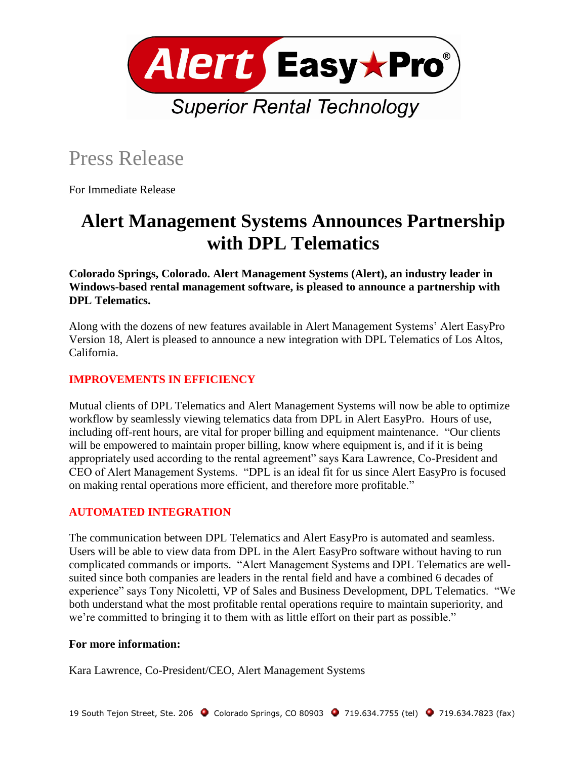

# Press Release

For Immediate Release

## **Alert Management Systems Announces Partnership with DPL Telematics**

**Colorado Springs, Colorado. Alert Management Systems (Alert), an industry leader in Windows-based rental management software, is pleased to announce a partnership with DPL Telematics.**

Along with the dozens of new features available in Alert Management Systems' Alert EasyPro Version 18, Alert is pleased to announce a new integration with DPL Telematics of Los Altos, California.

### **IMPROVEMENTS IN EFFICIENCY**

Mutual clients of DPL Telematics and Alert Management Systems will now be able to optimize workflow by seamlessly viewing telematics data from DPL in Alert EasyPro. Hours of use, including off-rent hours, are vital for proper billing and equipment maintenance. "Our clients will be empowered to maintain proper billing, know where equipment is, and if it is being appropriately used according to the rental agreement" says Kara Lawrence, Co-President and CEO of Alert Management Systems. "DPL is an ideal fit for us since Alert EasyPro is focused on making rental operations more efficient, and therefore more profitable."

#### **AUTOMATED INTEGRATION**

The communication between DPL Telematics and Alert EasyPro is automated and seamless. Users will be able to view data from DPL in the Alert EasyPro software without having to run complicated commands or imports. "Alert Management Systems and DPL Telematics are wellsuited since both companies are leaders in the rental field and have a combined 6 decades of experience" says Tony Nicoletti, VP of Sales and Business Development, DPL Telematics. "We both understand what the most profitable rental operations require to maintain superiority, and we're committed to bringing it to them with as little effort on their part as possible."

#### **For more information:**

Kara Lawrence, Co-President/CEO, Alert Management Systems